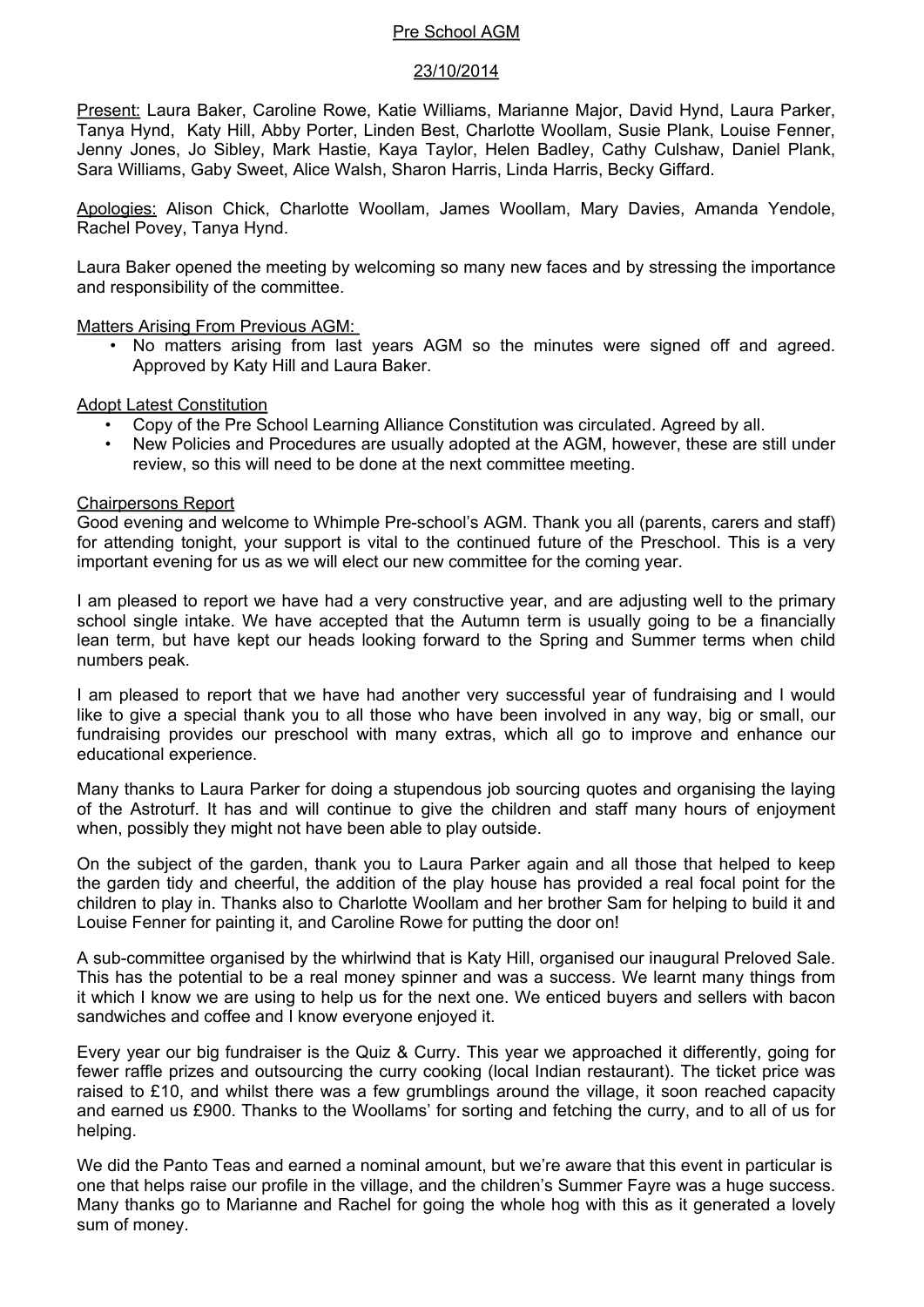# Pre School AGM

## 23/10/2014

Present: Laura Baker, Caroline Rowe, Katie Williams, Marianne Major, David Hynd, Laura Parker, Tanya Hynd, Katy Hill, Abby Porter, Linden Best, Charlotte Woollam, Susie Plank, Louise Fenner, Jenny Jones, Jo Sibley, Mark Hastie, Kaya Taylor, Helen Badley, Cathy Culshaw, Daniel Plank, Sara Williams, Gaby Sweet, Alice Walsh, Sharon Harris, Linda Harris, Becky Giffard.

Apologies: Alison Chick, Charlotte Woollam, James Woollam, Mary Davies, Amanda Yendole, Rachel Povey, Tanya Hynd.

Laura Baker opened the meeting by welcoming so many new faces and by stressing the importance and responsibility of the committee.

Matters Arising From Previous AGM:

• No matters arising from last years AGM so the minutes were signed off and agreed. Approved by Katy Hill and Laura Baker.

Adopt Latest Constitution

- Copy of the Pre School Learning Alliance Constitution was circulated. Agreed by all.
- New Policies and Procedures are usually adopted at the AGM, however, these are still under review, so this will need to be done at the next committee meeting.

#### Chairpersons Report

Good evening and welcome to Whimple Pre-school's AGM. Thank you all (parents, carers and staff) for attending tonight, your support is vital to the continued future of the Preschool. This is a very important evening for us as we will elect our new committee for the coming year.

I am pleased to report we have had a very constructive year, and are adjusting well to the primary school single intake. We have accepted that the Autumn term is usually going to be a financially lean term, but have kept our heads looking forward to the Spring and Summer terms when child numbers peak.

I am pleased to report that we have had another very successful year of fundraising and I would like to give a special thank you to all those who have been involved in any way, big or small, our fundraising provides our preschool with many extras, which all go to improve and enhance our educational experience.

Many thanks to Laura Parker for doing a stupendous job sourcing quotes and organising the laying of the Astroturf. It has and will continue to give the children and staff many hours of enjoyment when, possibly they might not have been able to play outside.

On the subject of the garden, thank you to Laura Parker again and all those that helped to keep the garden tidy and cheerful, the addition of the play house has provided a real focal point for the children to play in. Thanks also to Charlotte Woollam and her brother Sam for helping to build it and Louise Fenner for painting it, and Caroline Rowe for putting the door on!

A sub-committee organised by the whirlwind that is Katy Hill, organised our inaugural Preloved Sale. This has the potential to be a real money spinner and was a success. We learnt many things from it which I know we are using to help us for the next one. We enticed buyers and sellers with bacon sandwiches and coffee and I know everyone enjoyed it.

Every year our big fundraiser is the Quiz & Curry. This year we approached it differently, going for fewer raffle prizes and outsourcing the curry cooking (local Indian restaurant). The ticket price was raised to £10, and whilst there was a few grumblings around the village, it soon reached capacity and earned us £900. Thanks to the Woollams' for sorting and fetching the curry, and to all of us for helping.

We did the Panto Teas and earned a nominal amount, but we're aware that this event in particular is one that helps raise our profile in the village, and the children's Summer Fayre was a huge success. Many thanks go to Marianne and Rachel for going the whole hog with this as it generated a lovely sum of money.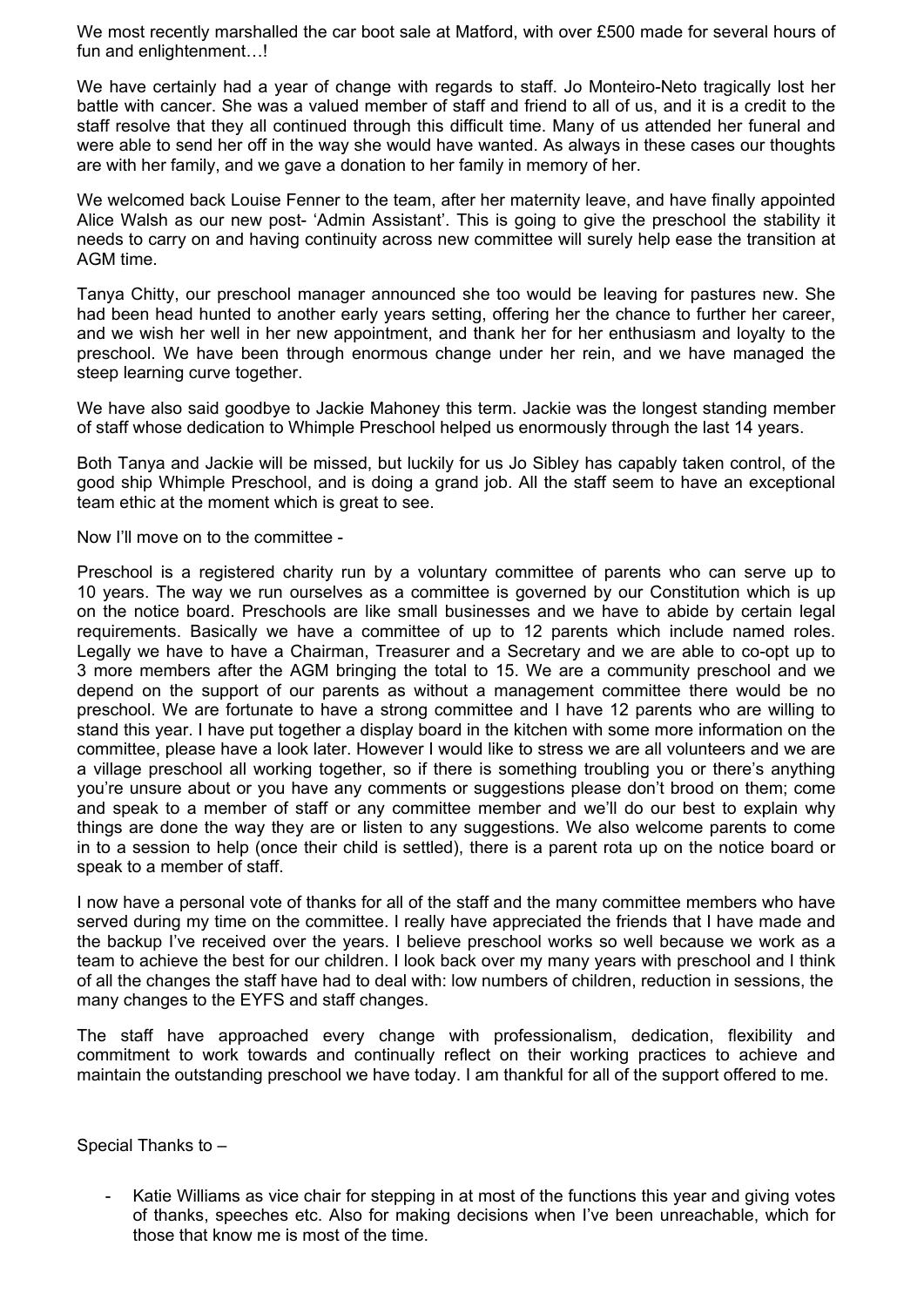We most recently marshalled the car boot sale at Matford, with over £500 made for several hours of fun and enlightenment...!

We have certainly had a year of change with regards to staff. Jo Monteiro-Neto tragically lost her battle with cancer. She was a valued member of staff and friend to all of us, and it is a credit to the staff resolve that they all continued through this difficult time. Many of us attended her funeral and were able to send her off in the way she would have wanted. As always in these cases our thoughts are with her family, and we gave a donation to her family in memory of her.

We welcomed back Louise Fenner to the team, after her maternity leave, and have finally appointed Alice Walsh as our new post- 'Admin Assistant'. This is going to give the preschool the stability it needs to carry on and having continuity across new committee will surely help ease the transition at AGM time.

Tanya Chitty, our preschool manager announced she too would be leaving for pastures new. She had been head hunted to another early years setting, offering her the chance to further her career, and we wish her well in her new appointment, and thank her for her enthusiasm and loyalty to the preschool. We have been through enormous change under her rein, and we have managed the steep learning curve together.

We have also said goodbye to Jackie Mahoney this term. Jackie was the longest standing member of staff whose dedication to Whimple Preschool helped us enormously through the last 14 years.

Both Tanya and Jackie will be missed, but luckily for us Jo Sibley has capably taken control, of the good ship Whimple Preschool, and is doing a grand job. All the staff seem to have an exceptional team ethic at the moment which is great to see.

Now I'll move on to the committee -

Preschool is a registered charity run by a voluntary committee of parents who can serve up to 10 years. The way we run ourselves as a committee is governed by our Constitution which is up on the notice board. Preschools are like small businesses and we have to abide by certain legal requirements. Basically we have a committee of up to 12 parents which include named roles. Legally we have to have a Chairman, Treasurer and a Secretary and we are able to co-opt up to 3 more members after the AGM bringing the total to 15. We are a community preschool and we depend on the support of our parents as without a management committee there would be no preschool. We are fortunate to have a strong committee and I have 12 parents who are willing to stand this year. I have put together a display board in the kitchen with some more information on the committee, please have a look later. However I would like to stress we are all volunteers and we are a village preschool all working together, so if there is something troubling you or there's anything you're unsure about or you have any comments or suggestions please don't brood on them; come and speak to a member of staff or any committee member and we'll do our best to explain why things are done the way they are or listen to any suggestions. We also welcome parents to come in to a session to help (once their child is settled), there is a parent rota up on the notice board or speak to a member of staff.

I now have a personal vote of thanks for all of the staff and the many committee members who have served during my time on the committee. I really have appreciated the friends that I have made and the backup I've received over the years. I believe preschool works so well because we work as a team to achieve the best for our children. I look back over my many years with preschool and I think of all the changes the staff have had to deal with: low numbers of children, reduction in sessions, the many changes to the EYFS and staff changes.

The staff have approached every change with professionalism, dedication, flexibility and commitment to work towards and continually reflect on their working practices to achieve and maintain the outstanding preschool we have today. I am thankful for all of the support offered to me.

Special Thanks to –

- Katie Williams as vice chair for stepping in at most of the functions this year and giving votes of thanks, speeches etc. Also for making decisions when I've been unreachable, which for those that know me is most of the time.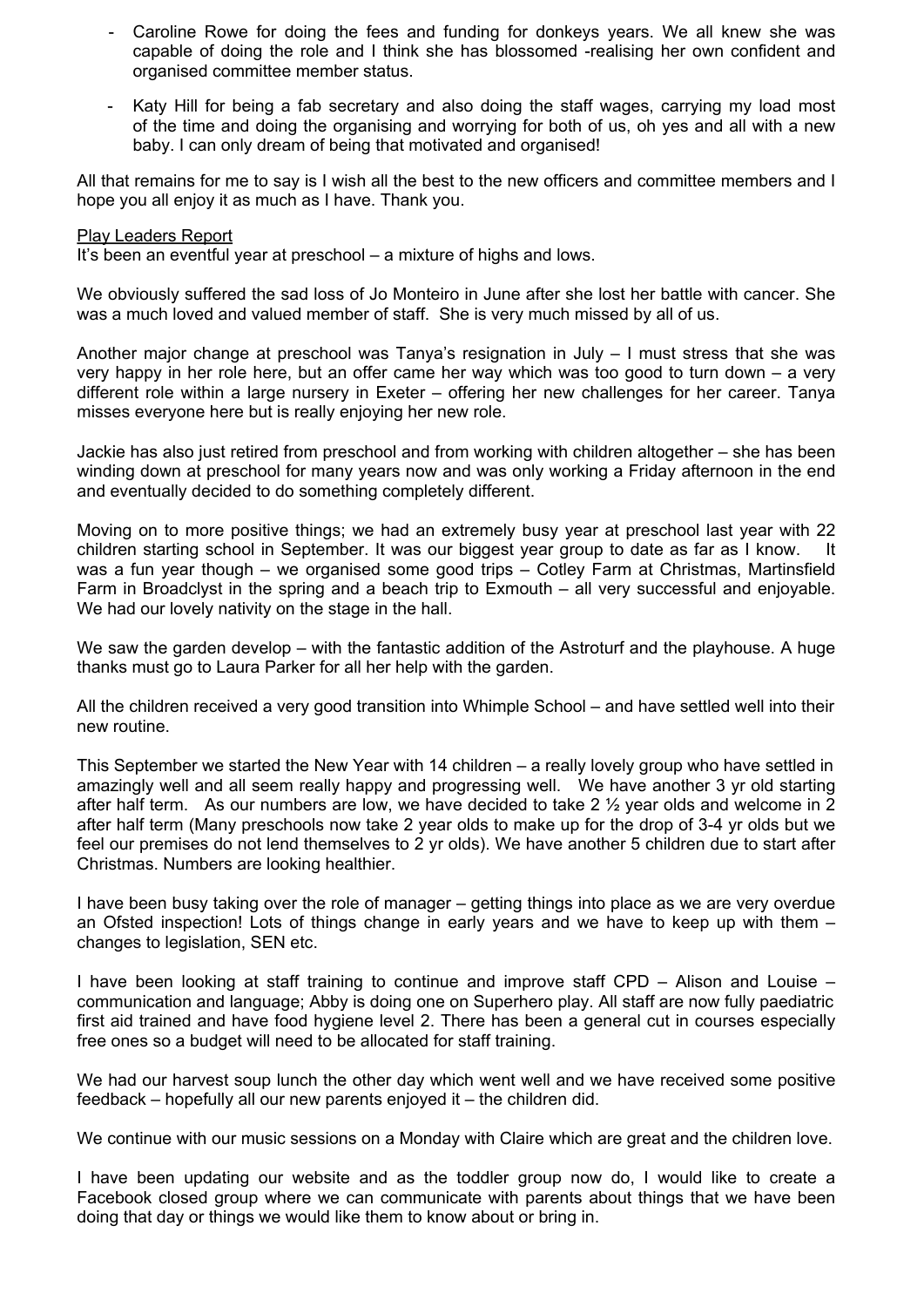- Caroline Rowe for doing the fees and funding for donkeys years. We all knew she was capable of doing the role and I think she has blossomed -realising her own confident and organised committee member status.
- Katy Hill for being a fab secretary and also doing the staff wages, carrying my load most of the time and doing the organising and worrying for both of us, oh yes and all with a new baby. I can only dream of being that motivated and organised!

All that remains for me to say is I wish all the best to the new officers and committee members and I hope you all enjoy it as much as I have. Thank you.

#### Play Leaders Report

It's been an eventful year at preschool – a mixture of highs and lows.

We obviously suffered the sad loss of Jo Monteiro in June after she lost her battle with cancer. She was a much loved and valued member of staff. She is very much missed by all of us.

Another major change at preschool was Tanya's resignation in July – I must stress that she was very happy in her role here, but an offer came her way which was too good to turn down – a very different role within a large nursery in Exeter – offering her new challenges for her career. Tanya misses everyone here but is really enjoying her new role.

Jackie has also just retired from preschool and from working with children altogether – she has been winding down at preschool for many years now and was only working a Friday afternoon in the end and eventually decided to do something completely different.

Moving on to more positive things; we had an extremely busy year at preschool last year with 22 children starting school in September. It was our biggest year group to date as far as I know. It was a fun year though – we organised some good trips – Cotley Farm at Christmas, Martinsfield Farm in Broadclyst in the spring and a beach trip to Exmouth – all very successful and enjoyable. We had our lovely nativity on the stage in the hall.

We saw the garden develop – with the fantastic addition of the Astroturf and the playhouse. A huge thanks must go to Laura Parker for all her help with the garden.

All the children received a very good transition into Whimple School – and have settled well into their new routine.

This September we started the New Year with 14 children – a really lovely group who have settled in amazingly well and all seem really happy and progressing well. We have another 3 yr old starting after half term. As our numbers are low, we have decided to take 2  $\frac{1}{2}$  year olds and welcome in 2 after half term (Many preschools now take 2 year olds to make up for the drop of 3-4 yr olds but we feel our premises do not lend themselves to 2 yr olds). We have another 5 children due to start after Christmas. Numbers are looking healthier.

I have been busy taking over the role of manager – getting things into place as we are very overdue an Ofsted inspection! Lots of things change in early years and we have to keep up with them – changes to legislation, SEN etc.

I have been looking at staff training to continue and improve staff CPD – Alison and Louise – communication and language; Abby is doing one on Superhero play. All staff are now fully paediatric first aid trained and have food hygiene level 2. There has been a general cut in courses especially free ones so a budget will need to be allocated for staff training.

We had our harvest soup lunch the other day which went well and we have received some positive feedback – hopefully all our new parents enjoyed it – the children did.

We continue with our music sessions on a Monday with Claire which are great and the children love.

I have been updating our website and as the toddler group now do, I would like to create a Facebook closed group where we can communicate with parents about things that we have been doing that day or things we would like them to know about or bring in.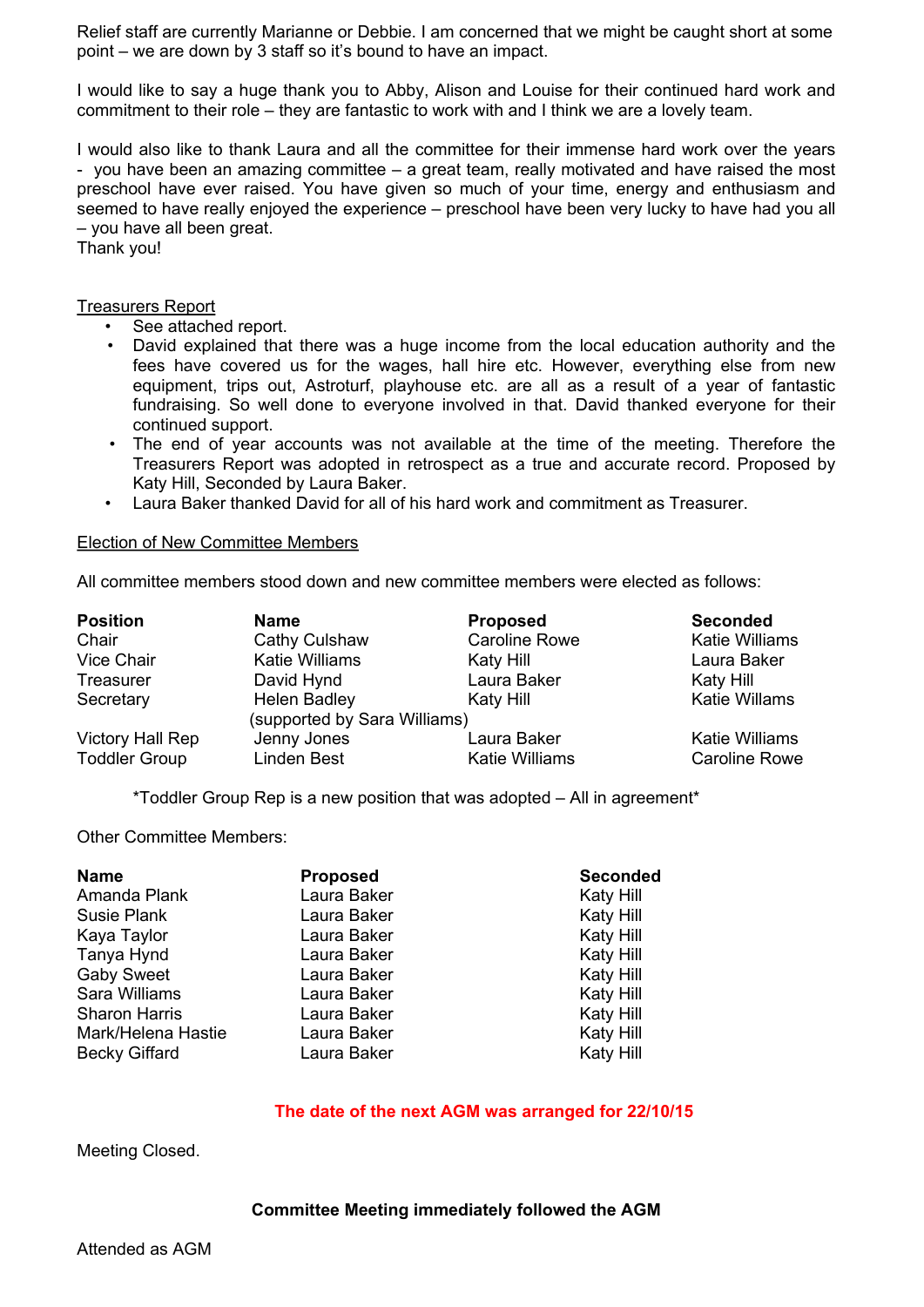Relief staff are currently Marianne or Debbie. I am concerned that we might be caught short at some point – we are down by 3 staff so it's bound to have an impact.

I would like to say a huge thank you to Abby, Alison and Louise for their continued hard work and commitment to their role – they are fantastic to work with and I think we are a lovely team.

I would also like to thank Laura and all the committee for their immense hard work over the years - you have been an amazing committee – a great team, really motivated and have raised the most preschool have ever raised. You have given so much of your time, energy and enthusiasm and seemed to have really enjoyed the experience – preschool have been very lucky to have had you all – you have all been great.

Thank you!

## Treasurers Report

- See attached report.
- David explained that there was a huge income from the local education authority and the fees have covered us for the wages, hall hire etc. However, everything else from new equipment, trips out, Astroturf, playhouse etc. are all as a result of a year of fantastic fundraising. So well done to everyone involved in that. David thanked everyone for their continued support.
- The end of year accounts was not available at the time of the meeting. Therefore the Treasurers Report was adopted in retrospect as a true and accurate record. Proposed by Katy Hill, Seconded by Laura Baker.
- Laura Baker thanked David for all of his hard work and commitment as Treasurer.

#### Election of New Committee Members

All committee members stood down and new committee members were elected as follows:

| <b>Position</b>         | <b>Name</b>                  | <b>Proposed</b>       | <b>Seconded</b>       |
|-------------------------|------------------------------|-----------------------|-----------------------|
| Chair                   | Cathy Culshaw                | <b>Caroline Rowe</b>  | <b>Katie Williams</b> |
| <b>Vice Chair</b>       | Katie Williams               | Katy Hill             | Laura Baker           |
| Treasurer               | David Hynd                   | Laura Baker           | Katy Hill             |
| Secretary               | <b>Helen Badley</b>          | Katy Hill             | <b>Katie Willams</b>  |
|                         | (supported by Sara Williams) |                       |                       |
| <b>Victory Hall Rep</b> | Jenny Jones                  | Laura Baker           | <b>Katie Williams</b> |
| <b>Toddler Group</b>    | Linden Best                  | <b>Katie Williams</b> | <b>Caroline Rowe</b>  |

\*Toddler Group Rep is a new position that was adopted – All in agreement\*

Other Committee Members:

| <b>Name</b>          | <b>Proposed</b> | <b>Seconded</b> |
|----------------------|-----------------|-----------------|
| Amanda Plank         | Laura Baker     | Katy Hill       |
| Susie Plank          | Laura Baker     | Katy Hill       |
| Kaya Taylor          | Laura Baker     | Katy Hill       |
| Tanya Hynd           | Laura Baker     | Katy Hill       |
| <b>Gaby Sweet</b>    | Laura Baker     | Katy Hill       |
| Sara Williams        | Laura Baker     | Katy Hill       |
| <b>Sharon Harris</b> | Laura Baker     | Katy Hill       |
| Mark/Helena Hastie   | Laura Baker     | Katy Hill       |
| <b>Becky Giffard</b> | Laura Baker     | Katy Hill       |

## **The date of the next AGM was arranged for 22/10/15**

Meeting Closed.

#### **Committee Meeting immediately followed the AGM**